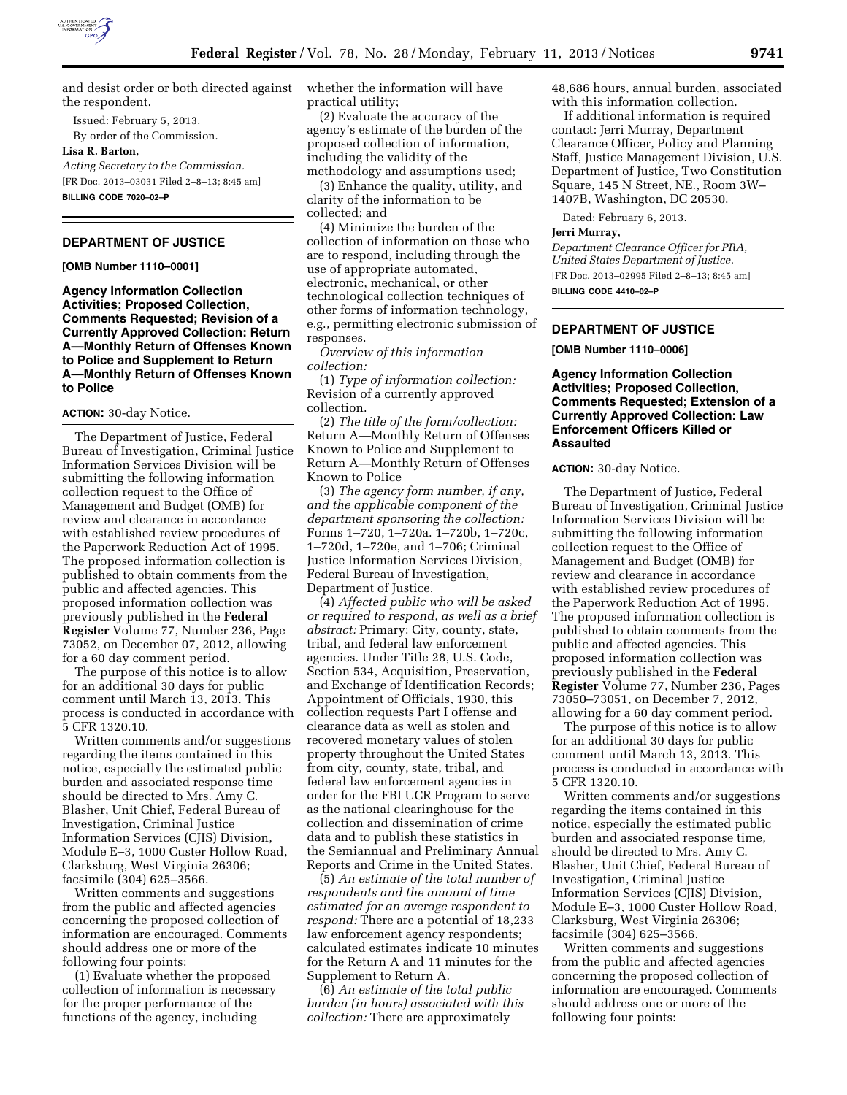

and desist order or both directed against the respondent.

Issued: February 5, 2013. By order of the Commission.

**Lisa R. Barton,** 

*Acting Secretary to the Commission.*  [FR Doc. 2013–03031 Filed 2–8–13; 8:45 am] **BILLING CODE 7020–02–P** 

# **DEPARTMENT OF JUSTICE**

**[OMB Number 1110–0001]** 

**Agency Information Collection Activities; Proposed Collection, Comments Requested; Revision of a Currently Approved Collection: Return A—Monthly Return of Offenses Known to Police and Supplement to Return A—Monthly Return of Offenses Known to Police** 

### **ACTION:** 30-day Notice.

The Department of Justice, Federal Bureau of Investigation, Criminal Justice Information Services Division will be submitting the following information collection request to the Office of Management and Budget (OMB) for review and clearance in accordance with established review procedures of the Paperwork Reduction Act of 1995. The proposed information collection is published to obtain comments from the public and affected agencies. This proposed information collection was previously published in the **Federal Register** Volume 77, Number 236, Page 73052, on December 07, 2012, allowing for a 60 day comment period.

The purpose of this notice is to allow for an additional 30 days for public comment until March 13, 2013. This process is conducted in accordance with 5 CFR 1320.10.

Written comments and/or suggestions regarding the items contained in this notice, especially the estimated public burden and associated response time should be directed to Mrs. Amy C. Blasher, Unit Chief, Federal Bureau of Investigation, Criminal Justice Information Services (CJIS) Division, Module E–3, 1000 Custer Hollow Road, Clarksburg, West Virginia 26306; facsimile (304) 625–3566.

Written comments and suggestions from the public and affected agencies concerning the proposed collection of information are encouraged. Comments should address one or more of the following four points:

(1) Evaluate whether the proposed collection of information is necessary for the proper performance of the functions of the agency, including

whether the information will have practical utility;

(2) Evaluate the accuracy of the agency's estimate of the burden of the proposed collection of information, including the validity of the methodology and assumptions used;

(3) Enhance the quality, utility, and clarity of the information to be collected; and

(4) Minimize the burden of the collection of information on those who are to respond, including through the use of appropriate automated, electronic, mechanical, or other technological collection techniques of other forms of information technology, e.g., permitting electronic submission of responses.

*Overview of this information collection:* 

(1) *Type of information collection:*  Revision of a currently approved collection.

(2) *The title of the form/collection:*  Return A—Monthly Return of Offenses Known to Police and Supplement to Return A—Monthly Return of Offenses Known to Police

(3) *The agency form number, if any, and the applicable component of the department sponsoring the collection:*  Forms 1–720, 1–720a. 1–720b, 1–720c, 1–720d, 1–720e, and 1–706; Criminal Justice Information Services Division, Federal Bureau of Investigation, Department of Justice.

(4) *Affected public who will be asked or required to respond, as well as a brief abstract:* Primary: City, county, state, tribal, and federal law enforcement agencies. Under Title 28, U.S. Code, Section 534, Acquisition, Preservation, and Exchange of Identification Records; Appointment of Officials, 1930, this collection requests Part I offense and clearance data as well as stolen and recovered monetary values of stolen property throughout the United States from city, county, state, tribal, and federal law enforcement agencies in order for the FBI UCR Program to serve as the national clearinghouse for the collection and dissemination of crime data and to publish these statistics in the Semiannual and Preliminary Annual Reports and Crime in the United States.

(5) *An estimate of the total number of respondents and the amount of time estimated for an average respondent to respond:* There are a potential of 18,233 law enforcement agency respondents; calculated estimates indicate 10 minutes for the Return A and 11 minutes for the Supplement to Return A.

(6) *An estimate of the total public burden (in hours) associated with this collection:* There are approximately

48,686 hours, annual burden, associated with this information collection.

If additional information is required contact: Jerri Murray, Department Clearance Officer, Policy and Planning Staff, Justice Management Division, U.S. Department of Justice, Two Constitution Square, 145 N Street, NE., Room 3W– 1407B, Washington, DC 20530.

Dated: February 6, 2013.

#### **Jerri Murray,**

*Department Clearance Officer for PRA, United States Department of Justice.*  [FR Doc. 2013–02995 Filed 2–8–13; 8:45 am] **BILLING CODE 4410–02–P** 

**DEPARTMENT OF JUSTICE** 

### **[OMB Number 1110–0006]**

**Agency Information Collection Activities; Proposed Collection, Comments Requested; Extension of a Currently Approved Collection: Law Enforcement Officers Killed or Assaulted** 

### **ACTION:** 30-day Notice.

The Department of Justice, Federal Bureau of Investigation, Criminal Justice Information Services Division will be submitting the following information collection request to the Office of Management and Budget (OMB) for review and clearance in accordance with established review procedures of the Paperwork Reduction Act of 1995. The proposed information collection is published to obtain comments from the public and affected agencies. This proposed information collection was previously published in the **Federal Register** Volume 77, Number 236, Pages 73050–73051, on December 7, 2012, allowing for a 60 day comment period.

The purpose of this notice is to allow for an additional 30 days for public comment until March 13, 2013. This process is conducted in accordance with 5 CFR 1320.10.

Written comments and/or suggestions regarding the items contained in this notice, especially the estimated public burden and associated response time, should be directed to Mrs. Amy C. Blasher, Unit Chief, Federal Bureau of Investigation, Criminal Justice Information Services (CJIS) Division, Module E–3, 1000 Custer Hollow Road, Clarksburg, West Virginia 26306; facsimile (304) 625–3566.

Written comments and suggestions from the public and affected agencies concerning the proposed collection of information are encouraged. Comments should address one or more of the following four points: